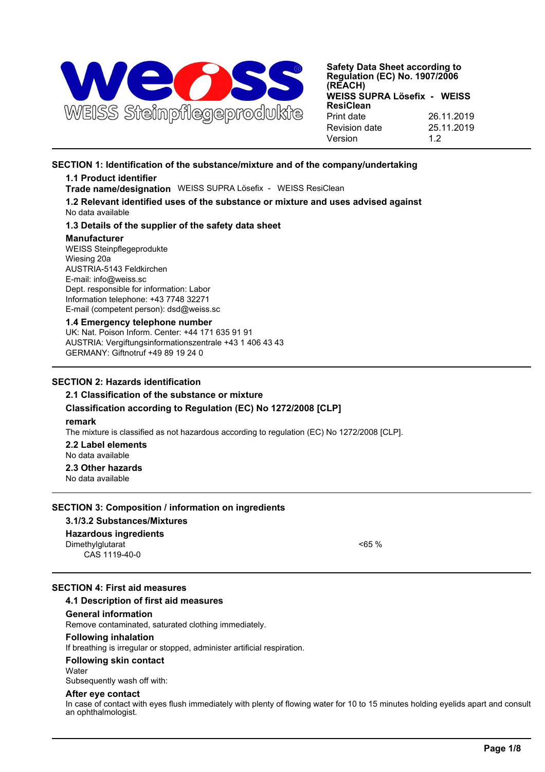

## **SECTION 1: Identification of the substance/mixture and of the company/undertaking**

## **1.1 Product identifier**

**Trade name/designation** WEISS SUPRA Lösefix - WEISS ResiClean

**1.2 Relevant identified uses of the substance or mixture and uses advised against** No data available

## **1.3 Details of the supplier of the safety data sheet**

### **Manufacturer**

WEISS Steinpflegeprodukte Wiesing 20a AUSTRIA-5143 Feldkirchen E-mail: info@weiss.sc Dept. responsible for information: Labor Information telephone: +43 7748 32271 E-mail (competent person): dsd@weiss.sc

### **1.4 Emergency telephone number**

UK: Nat. Poison Inform. Center: +44 171 635 91 91 AUSTRIA: Vergiftungsinformationszentrale +43 1 406 43 43 GERMANY: Giftnotruf +49 89 19 24 0

## **SECTION 2: Hazards identification**

## **2.1 Classification of the substance or mixture**

## **Classification according to Regulation (EC) No 1272/2008 [CLP]**

### **remark**

The mixture is classified as not hazardous according to regulation (EC) No 1272/2008 [CLP].

**2.2 Label elements** No data available

**2.3 Other hazards** No data available

## **SECTION 3: Composition / information on ingredients**

## **3.1/3.2 Substances/Mixtures**

## **Hazardous ingredients**

Dimethylglutarat <65 % CAS 1119-40-0

## **SECTION 4: First aid measures**

## **4.1 Description of first aid measures**

## **General information**

Remove contaminated, saturated clothing immediately.

## **Following inhalation**

If breathing is irregular or stopped, administer artificial respiration.

## **Following skin contact**

**Water** 

Subsequently wash off with:

## **After eye contact**

In case of contact with eyes flush immediately with plenty of flowing water for 10 to 15 minutes holding eyelids apart and consult an ophthalmologist.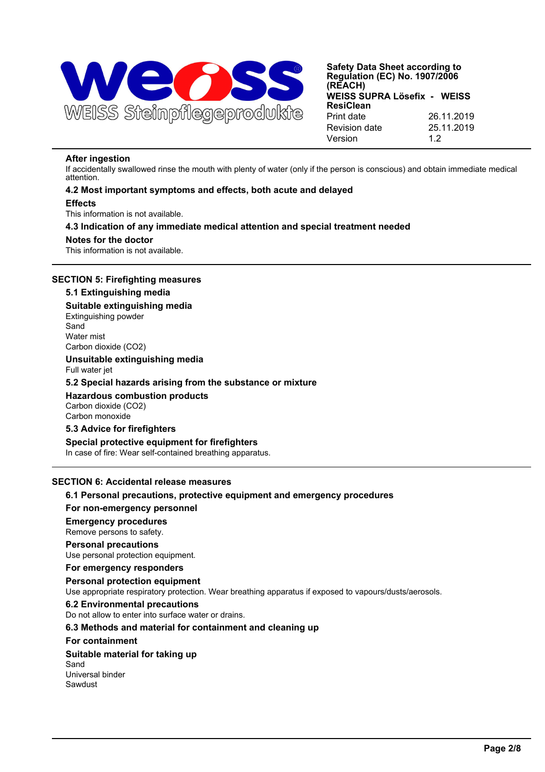

### **After ingestion**

If accidentally swallowed rinse the mouth with plenty of water (only if the person is conscious) and obtain immediate medical attention.

### **4.2 Most important symptoms and effects, both acute and delayed**

### **Effects**

This information is not available.

### **4.3 Indication of any immediate medical attention and special treatment needed**

#### **Notes for the doctor**

This information is not available.

## **SECTION 5: Firefighting measures**

## **5.1 Extinguishing media**

# **Suitable extinguishing media** Extinguishing powder

Sand Water mist Carbon dioxide (CO2)

### **Unsuitable extinguishing media** Full water jet

## **5.2 Special hazards arising from the substance or mixture**

**Hazardous combustion products** Carbon dioxide (CO2) Carbon monoxide

## **5.3 Advice for firefighters**

### **Special protective equipment for firefighters**

In case of fire: Wear self-contained breathing apparatus.

## **SECTION 6: Accidental release measures**

## **6.1 Personal precautions, protective equipment and emergency procedures**

## **For non-emergency personnel**

### **Emergency procedures**

Remove persons to safety.

### **Personal precautions**

Use personal protection equipment.

## **For emergency responders**

### **Personal protection equipment**

Use appropriate respiratory protection. Wear breathing apparatus if exposed to vapours/dusts/aerosols.

### **6.2 Environmental precautions**

Do not allow to enter into surface water or drains.

## **6.3 Methods and material for containment and cleaning up**

### **For containment**

## **Suitable material for taking up**

Sand Universal binder Sawdust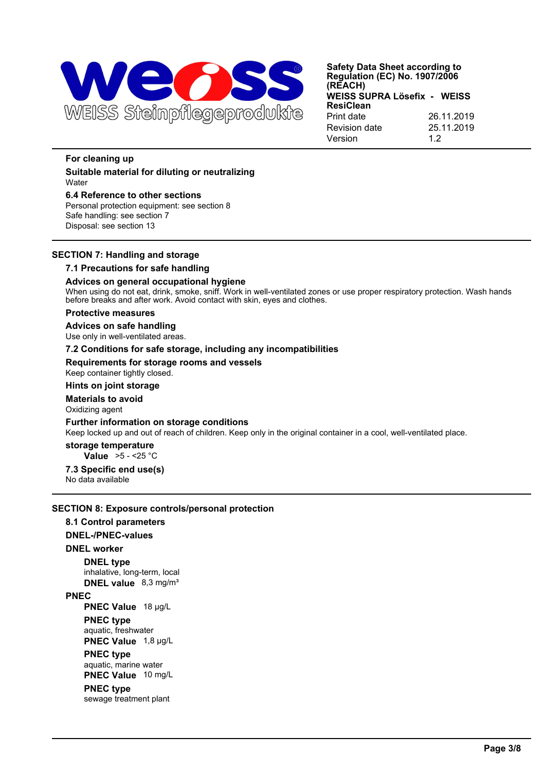

## **For cleaning up**

**Suitable material for diluting or neutralizing Water** 

**6.4 Reference to other sections** Personal protection equipment: see section 8 Safe handling: see section 7 Disposal: see section 13

## **SECTION 7: Handling and storage**

## **7.1 Precautions for safe handling**

## **Advices on general occupational hygiene**

When using do not eat, drink, smoke, sniff. Work in well-ventilated zones or use proper respiratory protection. Wash hands before breaks and after work. Avoid contact with skin, eyes and clothes.

### **Protective measures**

## **Advices on safe handling**

Use only in well-ventilated areas.

## **7.2 Conditions for safe storage, including any incompatibilities**

### **Requirements for storage rooms and vessels**

Keep container tightly closed.

## **Hints on joint storage**

**Materials to avoid**

# Oxidizing agent

**Further information on storage conditions**

Keep locked up and out of reach of children. Keep only in the original container in a cool, well-ventilated place.

# **storage temperature**

**Value** >5 - <25 °C

# **7.3 Specific end use(s)**

No data available

## **SECTION 8: Exposure controls/personal protection**

**8.1 Control parameters DNEL-/PNEC-values DNEL worker DNEL type** inhalative, long-term, local **DNEL value** 8,3 mg/m³ **PNEC PNEC Value** 18 µg/L **PNEC type** aquatic, freshwater **PNEC Value** 1,8 µg/L **PNEC type** aquatic, marine water **PNEC Value** 10 mg/L

## **PNEC type**

sewage treatment plant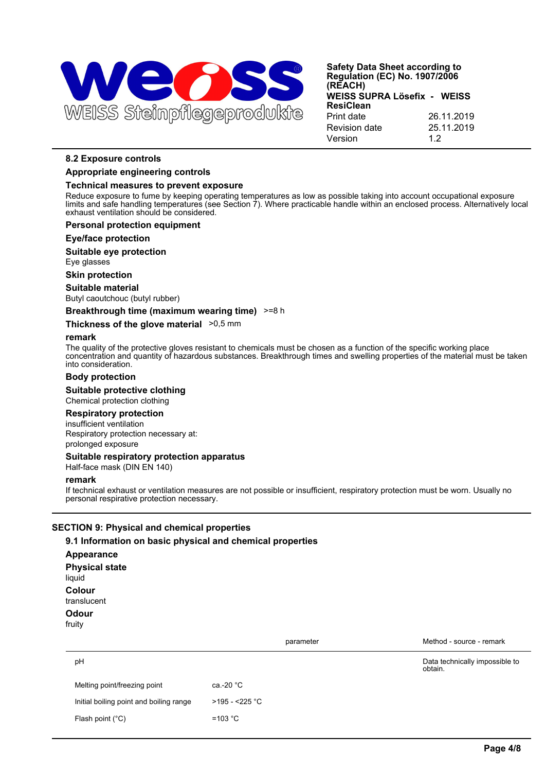

## **8.2 Exposure controls**

### **Appropriate engineering controls**

## **Technical measures to prevent exposure**

Reduce exposure to fume by keeping operating temperatures as low as possible taking into account occupational exposure limits and safe handling temperatures (see Section 7). Where practicable handle within an enclosed process. Alternatively local exhaust ventilation should be considered.

## **Personal protection equipment**

### **Eye/face protection**

**Suitable eye protection**

Eye glasses

**Skin protection**

### **Suitable material**

Butyl caoutchouc (butyl rubber)

### **Breakthrough time (maximum wearing time)** >=8 h

### **Thickness of the glove material**  $>0.5$  mm

### **remark**

The quality of the protective gloves resistant to chemicals must be chosen as a function of the specific working place concentration and quantity of hazardous substances. Breakthrough times and swelling properties of the material must be taken into consideration.

## **Body protection**

**Suitable protective clothing** Chemical protection clothing

### **Respiratory protection**

insufficient ventilation Respiratory protection necessary at: prolonged exposure

## **Suitable respiratory protection apparatus**

Half-face mask (DIN EN 140)

### **remark**

If technical exhaust or ventilation measures are not possible or insufficient, respiratory protection must be worn. Usually no personal respirative protection necessary.

## **SECTION 9: Physical and chemical properties**

## **9.1 Information on basic physical and chemical properties**

**Appearance Physical state** liquid **Colour** translucent **Odour** fruity

|                                         | parameter         | Method - source - remark                  |
|-----------------------------------------|-------------------|-------------------------------------------|
| pH                                      |                   | Data technically impossible to<br>obtain. |
| Melting point/freezing point            | ca.-20 °C         |                                           |
| Initial boiling point and boiling range | $>195 - 225$ °C   |                                           |
| Flash point $(^{\circ}C)$               | =103 $^{\circ}$ C |                                           |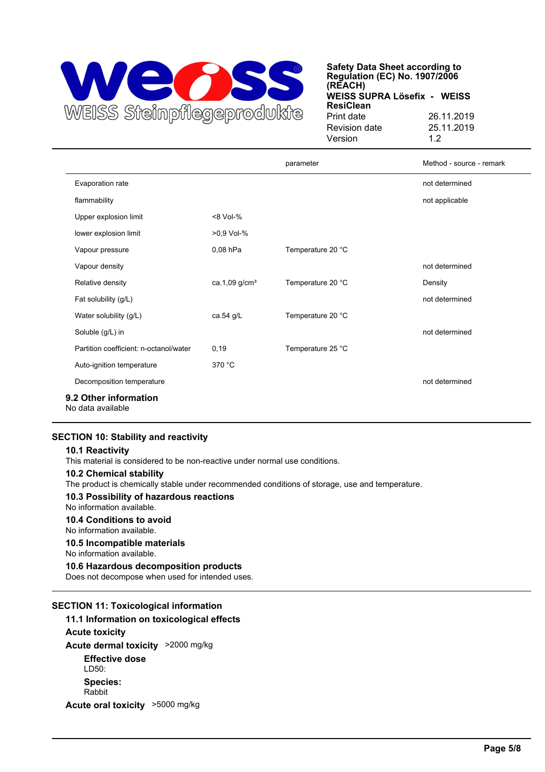

|                                            |                           | parameter         | Method - source - remark |  |
|--------------------------------------------|---------------------------|-------------------|--------------------------|--|
| Evaporation rate                           |                           |                   | not determined           |  |
| flammability                               |                           |                   | not applicable           |  |
| Upper explosion limit                      | <8 Vol-%                  |                   |                          |  |
| lower explosion limit                      | >0,9 Vol-%                |                   |                          |  |
| Vapour pressure                            | 0,08 hPa                  | Temperature 20 °C |                          |  |
| Vapour density                             |                           |                   | not determined           |  |
| Relative density                           | ca.1,09 g/cm <sup>3</sup> | Temperature 20 °C | Density                  |  |
| Fat solubility (g/L)                       |                           |                   | not determined           |  |
| Water solubility (g/L)                     | ca.54 g/L                 | Temperature 20 °C |                          |  |
| Soluble (g/L) in                           |                           |                   | not determined           |  |
| Partition coefficient: n-octanol/water     | 0, 19                     | Temperature 25 °C |                          |  |
| Auto-ignition temperature                  | 370 °C                    |                   |                          |  |
| Decomposition temperature                  |                           |                   | not determined           |  |
| 9.2 Other information<br>No data available |                           |                   |                          |  |

## **SECTION 10: Stability and reactivity**

## **10.1 Reactivity**

This material is considered to be non-reactive under normal use conditions.

## **10.2 Chemical stability**

The product is chemically stable under recommended conditions of storage, use and temperature.

## **10.3 Possibility of hazardous reactions**

No information available.

## **10.4 Conditions to avoid**

No information available.

**10.5 Incompatible materials**

No information available.

## **10.6 Hazardous decomposition products**

Does not decompose when used for intended uses.

## **SECTION 11: Toxicological information**

## **11.1 Information on toxicological effects**

**Acute toxicity Acute dermal toxicity** >2000 mg/kg **Effective dose** LD50: **Species:** Rabbit **Acute oral toxicity** >5000 mg/kg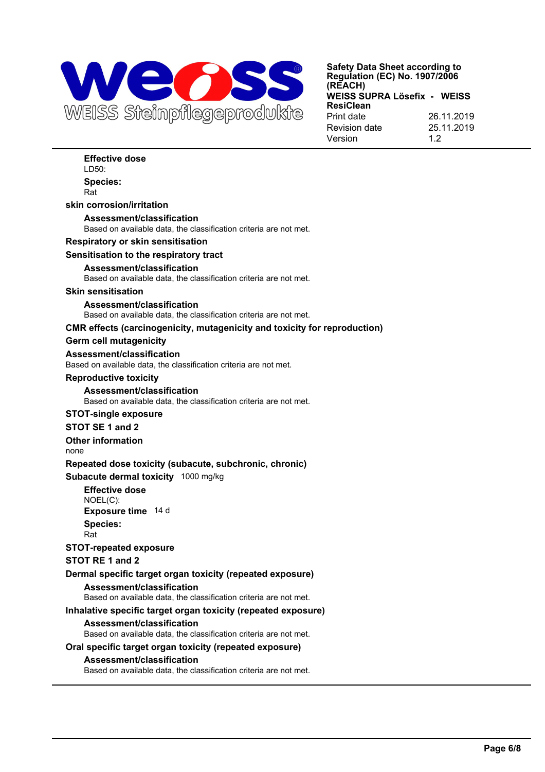

**Effective dose** LD50: **Species:** Rat **skin corrosion/irritation Assessment/classification** Based on available data, the classification criteria are not met. **Respiratory or skin sensitisation Sensitisation to the respiratory tract Assessment/classification** Based on available data, the classification criteria are not met. **Skin sensitisation Assessment/classification** Based on available data, the classification criteria are not met. **CMR effects (carcinogenicity, mutagenicity and toxicity for reproduction) Germ cell mutagenicity Assessment/classification** Based on available data, the classification criteria are not met. **Reproductive toxicity Assessment/classification** Based on available data, the classification criteria are not met. **STOT-single exposure STOT SE 1 and 2 Other information** none **Repeated dose toxicity (subacute, subchronic, chronic) Subacute dermal toxicity** 1000 mg/kg **Effective dose** NOEL(C): **Exposure time** 14 d **Species:** Rat **STOT-repeated exposure STOT RE 1 and 2 Dermal specific target organ toxicity (repeated exposure) Assessment/classification** Based on available data, the classification criteria are not met. **Inhalative specific target organ toxicity (repeated exposure) Assessment/classification** Based on available data, the classification criteria are not met. **Oral specific target organ toxicity (repeated exposure) Assessment/classification** Based on available data, the classification criteria are not met.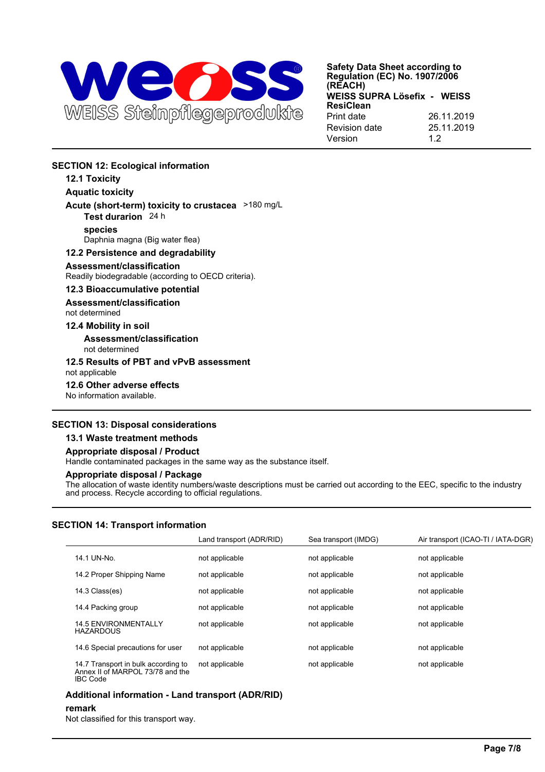

# **SECTION 12: Ecological information**

# **12.1 Toxicity**

**Aquatic toxicity**

**Acute (short-term) toxicity to crustacea** >180 mg/L **Test durarion** 24 h

## **species**

Daphnia magna (Big water flea)

## **12.2 Persistence and degradability**

## **Assessment/classification**

Readily biodegradable (according to OECD criteria).

## **12.3 Bioaccumulative potential**

**Assessment/classification**

# not determined

## **12.4 Mobility in soil**

**Assessment/classification** not determined

## **12.5 Results of PBT and vPvB assessment** not applicable

## **12.6 Other adverse effects**

No information available.

## **SECTION 13: Disposal considerations**

## **13.1 Waste treatment methods**

## **Appropriate disposal / Product**

Handle contaminated packages in the same way as the substance itself.

## **Appropriate disposal / Package**

The allocation of waste identity numbers/waste descriptions must be carried out according to the EEC, specific to the industry and process. Recycle according to official regulations.

## **SECTION 14: Transport information**

|                                                                                            | Land transport (ADR/RID) | Sea transport (IMDG) | Air transport (ICAO-TI / IATA-DGR) |
|--------------------------------------------------------------------------------------------|--------------------------|----------------------|------------------------------------|
| 14.1 UN-No.                                                                                | not applicable           | not applicable       | not applicable                     |
| 14.2 Proper Shipping Name                                                                  | not applicable           | not applicable       | not applicable                     |
| 14.3 Class(es)                                                                             | not applicable           | not applicable       | not applicable                     |
| 14.4 Packing group                                                                         | not applicable           | not applicable       | not applicable                     |
| <b>14.5 ENVIRONMENTALLY</b><br><b>HAZARDOUS</b>                                            | not applicable           | not applicable       | not applicable                     |
| 14.6 Special precautions for user                                                          | not applicable           | not applicable       | not applicable                     |
| 14.7 Transport in bulk according to<br>Annex II of MARPOL 73/78 and the<br><b>IBC Code</b> | not applicable           | not applicable       | not applicable                     |

## **Additional information - Land transport (ADR/RID)**

## **remark**

Not classified for this transport way.